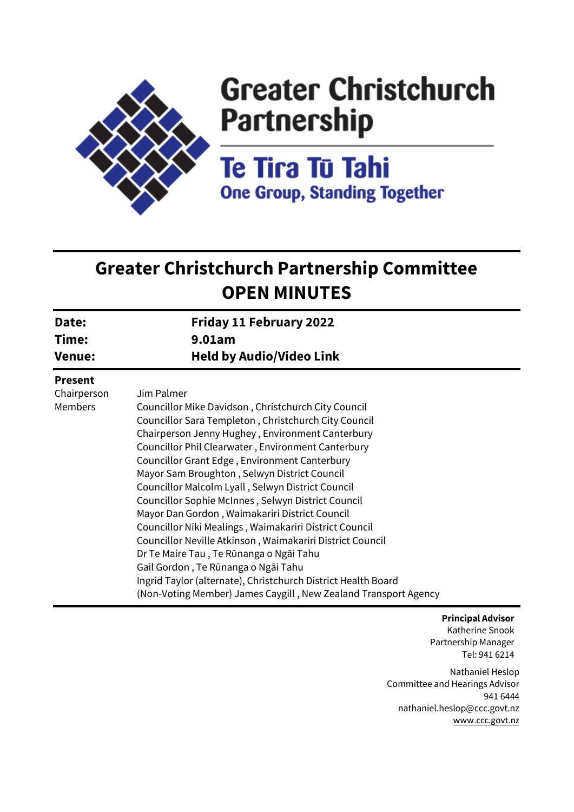

# **Greater Christchurch Partnership**

**Te Tira Tū Tahi One Group, Standing Together** 

## **Greater Christchurch Partnership Committee OPEN MINUTES**

| Date:                                           | <b>Friday 11 February 2022</b>                                                                                                                                                                                                                                                                                                                                                                                                                                                                                                                                                                                                                                                                             |
|-------------------------------------------------|------------------------------------------------------------------------------------------------------------------------------------------------------------------------------------------------------------------------------------------------------------------------------------------------------------------------------------------------------------------------------------------------------------------------------------------------------------------------------------------------------------------------------------------------------------------------------------------------------------------------------------------------------------------------------------------------------------|
| Time:                                           | 9.01am                                                                                                                                                                                                                                                                                                                                                                                                                                                                                                                                                                                                                                                                                                     |
| <b>Venue:</b>                                   | <b>Held by Audio/Video Link</b>                                                                                                                                                                                                                                                                                                                                                                                                                                                                                                                                                                                                                                                                            |
| <b>Present</b><br>Chairperson<br><b>Members</b> | Jim Palmer<br>Councillor Mike Davidson, Christchurch City Council<br>Councillor Sara Templeton, Christchurch City Council<br>Chairperson Jenny Hughey, Environment Canterbury<br>Councillor Phil Clearwater, Environment Canterbury<br>Councillor Grant Edge, Environment Canterbury<br>Mayor Sam Broughton, Selwyn District Council<br>Councillor Malcolm Lyall, Selwyn District Council<br>Councillor Sophie McInnes, Selwyn District Council<br>Mayor Dan Gordon, Waimakariri District Council<br>Councillor Niki Mealings, Waimakariri District Council<br>Councillor Neville Atkinson, Waimakariri District Council<br>Dr Te Maire Tau, Te Rūnanga o Ngāi Tahu<br>Gail Gordon, Te Rūnanga o Ngāi Tahu |
|                                                 | Ingrid Taylor (alternate), Christchurch District Health Board<br>(Non-Voting Member) James Caygill, New Zealand Transport Agency                                                                                                                                                                                                                                                                                                                                                                                                                                                                                                                                                                           |

#### **Principal Advisor**

Katherine Snook Partnership Manager Tel: 941 6214

Nathaniel Heslop Committee and Hearings Advisor 941 6444 nathaniel.heslop@ccc.govt.nz [www.ccc.govt.nz](http://www.ccc.govt.nz/)